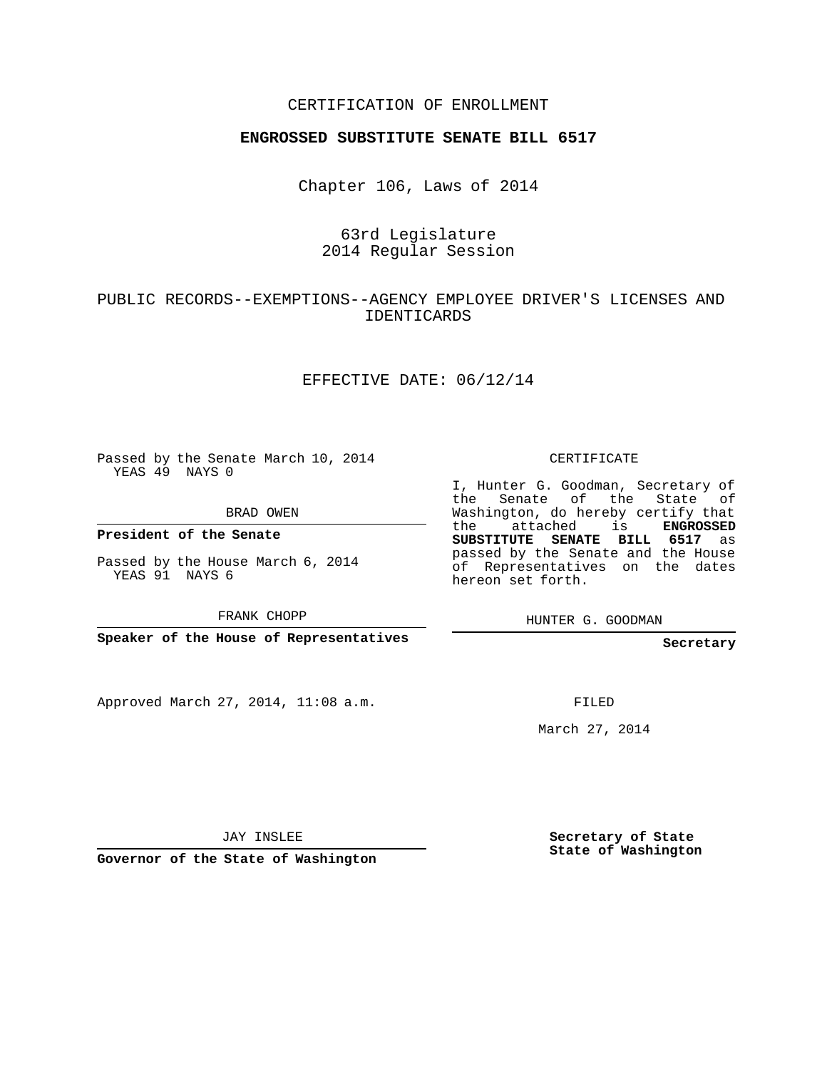#### CERTIFICATION OF ENROLLMENT

#### **ENGROSSED SUBSTITUTE SENATE BILL 6517**

Chapter 106, Laws of 2014

### 63rd Legislature 2014 Regular Session

## PUBLIC RECORDS--EXEMPTIONS--AGENCY EMPLOYEE DRIVER'S LICENSES AND IDENTICARDS

#### EFFECTIVE DATE: 06/12/14

Passed by the Senate March 10, 2014 YEAS 49 NAYS 0

BRAD OWEN

**President of the Senate**

Passed by the House March 6, 2014 YEAS 91 NAYS 6

FRANK CHOPP

**Speaker of the House of Representatives**

Approved March 27, 2014, 11:08 a.m.

CERTIFICATE

I, Hunter G. Goodman, Secretary of the Senate of the State of Washington, do hereby certify that the attached is **ENGROSSED SUBSTITUTE SENATE BILL 6517** as passed by the Senate and the House of Representatives on the dates hereon set forth.

HUNTER G. GOODMAN

**Secretary**

FILED

March 27, 2014

JAY INSLEE

**Governor of the State of Washington**

**Secretary of State State of Washington**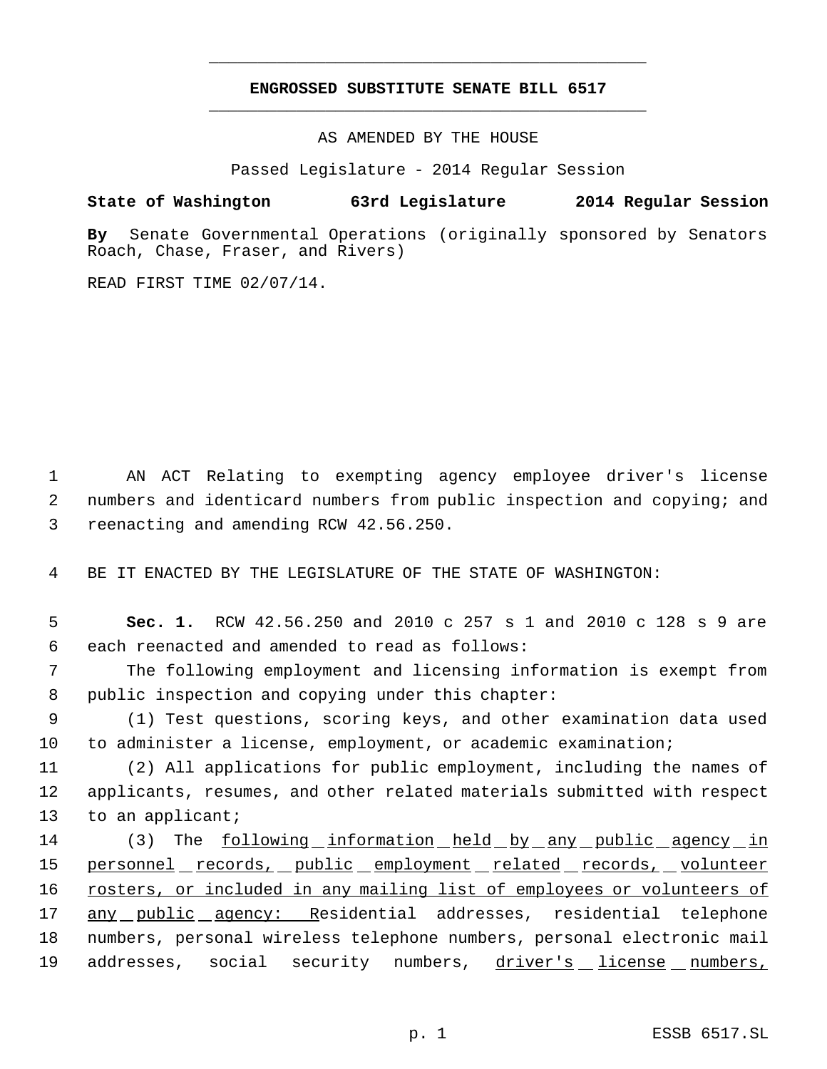## **ENGROSSED SUBSTITUTE SENATE BILL 6517** \_\_\_\_\_\_\_\_\_\_\_\_\_\_\_\_\_\_\_\_\_\_\_\_\_\_\_\_\_\_\_\_\_\_\_\_\_\_\_\_\_\_\_\_\_

\_\_\_\_\_\_\_\_\_\_\_\_\_\_\_\_\_\_\_\_\_\_\_\_\_\_\_\_\_\_\_\_\_\_\_\_\_\_\_\_\_\_\_\_\_

AS AMENDED BY THE HOUSE

Passed Legislature - 2014 Regular Session

# **State of Washington 63rd Legislature 2014 Regular Session**

**By** Senate Governmental Operations (originally sponsored by Senators Roach, Chase, Fraser, and Rivers)

READ FIRST TIME 02/07/14.

 1 AN ACT Relating to exempting agency employee driver's license 2 numbers and identicard numbers from public inspection and copying; and 3 reenacting and amending RCW 42.56.250.

4 BE IT ENACTED BY THE LEGISLATURE OF THE STATE OF WASHINGTON:

 5 **Sec. 1.** RCW 42.56.250 and 2010 c 257 s 1 and 2010 c 128 s 9 are 6 each reenacted and amended to read as follows:

 7 The following employment and licensing information is exempt from 8 public inspection and copying under this chapter:

 9 (1) Test questions, scoring keys, and other examination data used 10 to administer a license, employment, or academic examination;

11 (2) All applications for public employment, including the names of 12 applicants, resumes, and other related materials submitted with respect 13 to an applicant;

14 (3) The following information held by any public agency in 15 personnel records, public employment related records, volunteer 16 rosters, or included in any mailing list of employees or volunteers of 17 any public agency: Residential addresses, residential telephone 18 numbers, personal wireless telephone numbers, personal electronic mail 19 addresses, social security numbers, driver's license numbers,